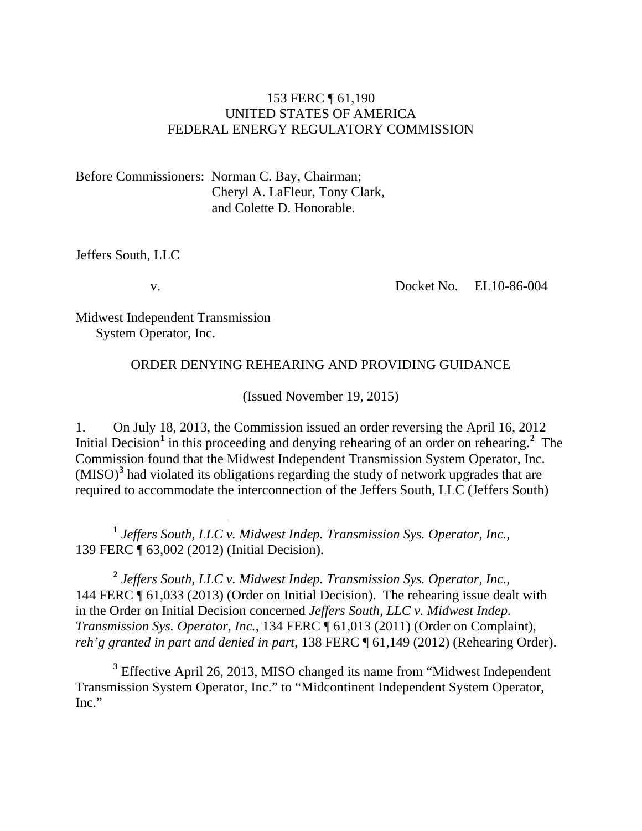#### 153 FERC ¶ 61,190 UNITED STATES OF AMERICA FEDERAL ENERGY REGULATORY COMMISSION

Before Commissioners: Norman C. Bay, Chairman; Cheryl A. LaFleur, Tony Clark, and Colette D. Honorable.

Jeffers South, LLC

v.

Docket No. EL10-86-004

Midwest Independent Transmission System Operator, Inc.

#### ORDER DENYING REHEARING AND PROVIDING GUIDANCE

(Issued November 19, 2015)

1. On July 18, 2013, the Commission issued an order reversing the April 16, 2012 Initial Decision<sup>[1](#page-0-0)</sup> in this proceeding and denying rehearing of an order on rehearing.<sup>[2](#page-0-1)</sup> The Commission found that the Midwest Independent Transmission System Operator, Inc. (MISO)**[3](#page-0-2)** had violated its obligations regarding the study of network upgrades that are required to accommodate the interconnection of the Jeffers South, LLC (Jeffers South)

<span id="page-0-0"></span> **<sup>1</sup>** *Jeffers South, LLC v. Midwest Indep. Transmission Sys. Operator, Inc.*, 139 FERC ¶ 63,002 (2012) (Initial Decision).

<span id="page-0-1"></span>**<sup>2</sup>** *Jeffers South, LLC v. Midwest Indep. Transmission Sys. Operator, Inc.*, 144 FERC ¶ 61,033 (2013) (Order on Initial Decision). The rehearing issue dealt with in the Order on Initial Decision concerned *Jeffers South, LLC v. Midwest Indep. Transmission Sys. Operator, Inc.*, 134 FERC ¶ 61,013 (2011) (Order on Complaint), *reh'g granted in part and denied in part*, 138 FERC ¶ 61,149 (2012) (Rehearing Order).

<span id="page-0-2"></span>**<sup>3</sup>** Effective April 26, 2013, MISO changed its name from "Midwest Independent Transmission System Operator, Inc." to "Midcontinent Independent System Operator, Inc."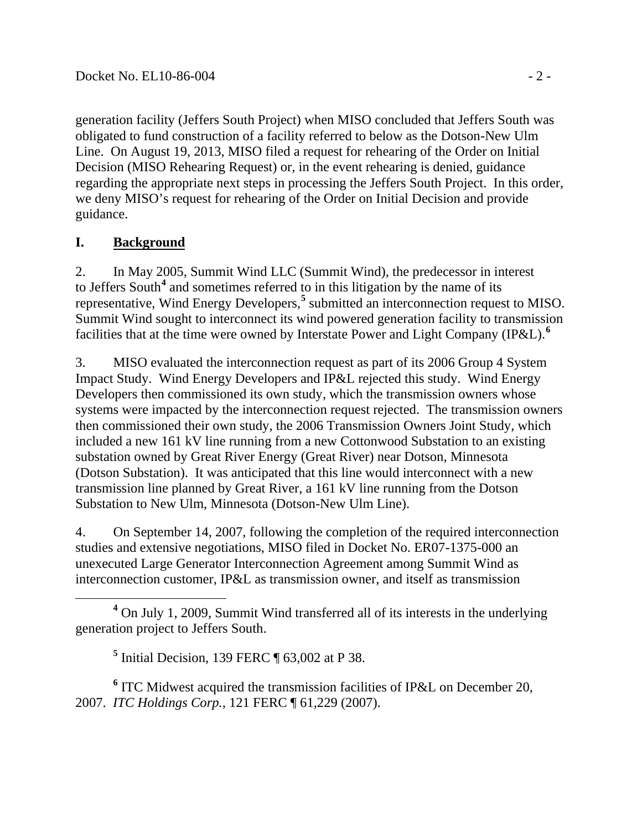generation facility (Jeffers South Project) when MISO concluded that Jeffers South was obligated to fund construction of a facility referred to below as the Dotson-New Ulm Line. On August 19, 2013, MISO filed a request for rehearing of the Order on Initial Decision (MISO Rehearing Request) or, in the event rehearing is denied, guidance regarding the appropriate next steps in processing the Jeffers South Project. In this order, we deny MISO's request for rehearing of the Order on Initial Decision and provide guidance.

## **I. Background**

2. In May 2005, Summit Wind LLC (Summit Wind), the predecessor in interest to Jeffers South**[4](#page-1-0)** and sometimes referred to in this litigation by the name of its representative, Wind Energy Developers,**[5](#page-1-1)** submitted an interconnection request to MISO. Summit Wind sought to interconnect its wind powered generation facility to transmission facilities that at the time were owned by Interstate Power and Light Company (IP&L).**[6](#page-1-2)**

3. MISO evaluated the interconnection request as part of its 2006 Group 4 System Impact Study. Wind Energy Developers and IP&L rejected this study. Wind Energy Developers then commissioned its own study, which the transmission owners whose systems were impacted by the interconnection request rejected. The transmission owners then commissioned their own study, the 2006 Transmission Owners Joint Study, which included a new 161 kV line running from a new Cottonwood Substation to an existing substation owned by Great River Energy (Great River) near Dotson, Minnesota (Dotson Substation). It was anticipated that this line would interconnect with a new transmission line planned by Great River, a 161 kV line running from the Dotson Substation to New Ulm, Minnesota (Dotson-New Ulm Line).

4. On September 14, 2007, following the completion of the required interconnection studies and extensive negotiations, MISO filed in Docket No. ER07-1375-000 an unexecuted Large Generator Interconnection Agreement among Summit Wind as interconnection customer, IP&L as transmission owner, and itself as transmission

**<sup>5</sup>** Initial Decision, 139 FERC ¶ 63,002 at P 38.

<span id="page-1-2"></span><span id="page-1-1"></span>**<sup>6</sup>** ITC Midwest acquired the transmission facilities of IP&L on December 20, 2007. *ITC Holdings Corp.*, 121 FERC ¶ 61,229 (2007).

<span id="page-1-0"></span>**<sup>4</sup>** On July 1, 2009, Summit Wind transferred all of its interests in the underlying generation project to Jeffers South.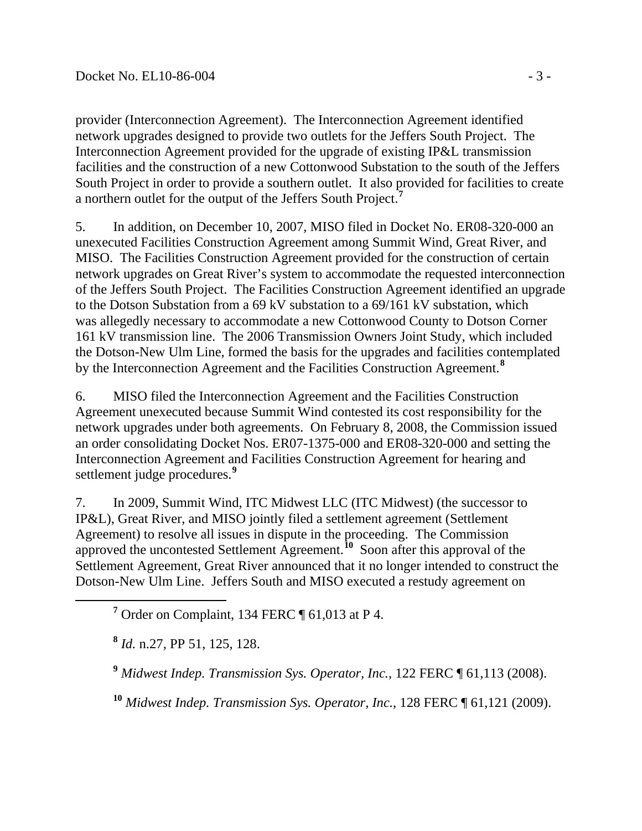provider (Interconnection Agreement). The Interconnection Agreement identified network upgrades designed to provide two outlets for the Jeffers South Project. The Interconnection Agreement provided for the upgrade of existing IP&L transmission facilities and the construction of a new Cottonwood Substation to the south of the Jeffers South Project in order to provide a southern outlet. It also provided for facilities to create a northern outlet for the output of the Jeffers South Project. **[7](#page-2-0)**

5. In addition, on December 10, 2007, MISO filed in Docket No. ER08-320-000 an unexecuted Facilities Construction Agreement among Summit Wind, Great River, and MISO. The Facilities Construction Agreement provided for the construction of certain network upgrades on Great River's system to accommodate the requested interconnection of the Jeffers South Project. The Facilities Construction Agreement identified an upgrade to the Dotson Substation from a 69 kV substation to a 69/161 kV substation, which was allegedly necessary to accommodate a new Cottonwood County to Dotson Corner 161 kV transmission line. The 2006 Transmission Owners Joint Study, which included the Dotson-New Ulm Line, formed the basis for the upgrades and facilities contemplated by the Interconnection Agreement and the Facilities Construction Agreement.**[8](#page-2-1)**

6. MISO filed the Interconnection Agreement and the Facilities Construction Agreement unexecuted because Summit Wind contested its cost responsibility for the network upgrades under both agreements. On February 8, 2008, the Commission issued an order consolidating Docket Nos. ER07-1375-000 and ER08-320-000 and setting the Interconnection Agreement and Facilities Construction Agreement for hearing and settlement judge procedures.**[9](#page-2-2)**

7. In 2009, Summit Wind, ITC Midwest LLC (ITC Midwest) (the successor to IP&L), Great River, and MISO jointly filed a settlement agreement (Settlement Agreement) to resolve all issues in dispute in the proceeding. The Commission approved the uncontested Settlement Agreement. **[10](#page-2-3)** Soon after this approval of the Settlement Agreement, Great River announced that it no longer intended to construct the Dotson-New Ulm Line. Jeffers South and MISO executed a restudy agreement on

<span id="page-2-1"></span>**<sup>8</sup>** *Id.* n.27, PP 51, 125, 128.

<span id="page-2-2"></span>**<sup>9</sup>** *Midwest Indep. Transmission Sys. Operator, Inc.*, 122 FERC ¶ 61,113 (2008).

<span id="page-2-3"></span>**<sup>10</sup>** *Midwest Indep. Transmission Sys. Operator, Inc.*, 128 FERC ¶ 61,121 (2009).

<span id="page-2-0"></span>**<sup>7</sup>** Order on Complaint, 134 FERC ¶ 61,013 at P 4.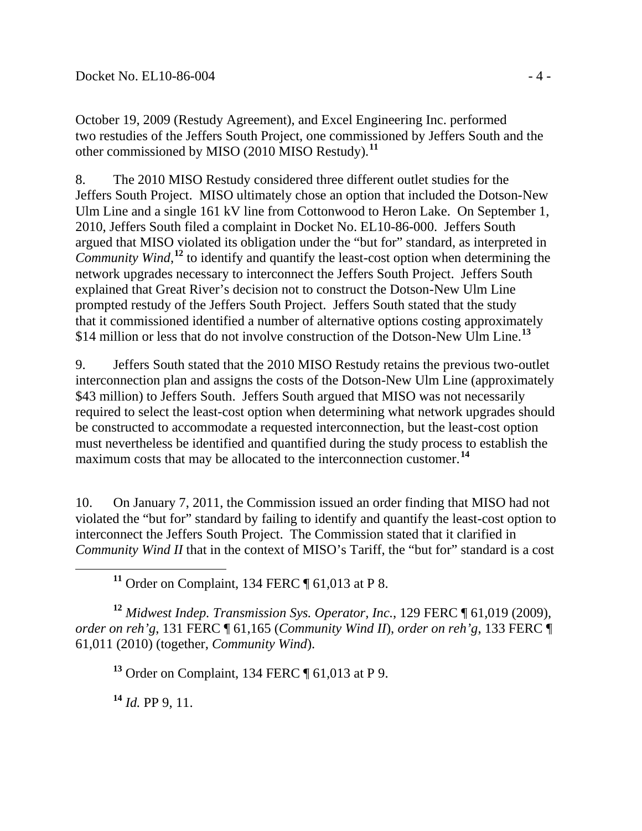October 19, 2009 (Restudy Agreement), and Excel Engineering Inc. performed two restudies of the Jeffers South Project, one commissioned by Jeffers South and the other commissioned by MISO (2010 MISO Restudy).**[11](#page-3-0)**

8. The 2010 MISO Restudy considered three different outlet studies for the Jeffers South Project. MISO ultimately chose an option that included the Dotson-New Ulm Line and a single 161 kV line from Cottonwood to Heron Lake. On September 1, 2010, Jeffers South filed a complaint in Docket No. EL10-86-000. Jeffers South argued that MISO violated its obligation under the "but for" standard, as interpreted in Community Wind,<sup>[12](#page-3-1)</sup> to identify and quantify the least-cost option when determining the network upgrades necessary to interconnect the Jeffers South Project. Jeffers South explained that Great River's decision not to construct the Dotson-New Ulm Line prompted restudy of the Jeffers South Project. Jeffers South stated that the study that it commissioned identified a number of alternative options costing approximately \$14 million or less that do not involve construction of the Dotson-New Ulm Line. **[13](#page-3-2)**

9. Jeffers South stated that the 2010 MISO Restudy retains the previous two-outlet interconnection plan and assigns the costs of the Dotson-New Ulm Line (approximately \$43 million) to Jeffers South. Jeffers South argued that MISO was not necessarily required to select the least-cost option when determining what network upgrades should be constructed to accommodate a requested interconnection, but the least-cost option must nevertheless be identified and quantified during the study process to establish the maximum costs that may be allocated to the interconnection customer.<sup>[14](#page-3-3)</sup>

10. On January 7, 2011, the Commission issued an order finding that MISO had not violated the "but for" standard by failing to identify and quantify the least-cost option to interconnect the Jeffers South Project. The Commission stated that it clarified in *Community Wind II* that in the context of MISO's Tariff, the "but for" standard is a cost

**<sup>11</sup>** Order on Complaint, 134 FERC ¶ 61,013 at P 8.

<span id="page-3-2"></span><span id="page-3-1"></span><span id="page-3-0"></span>**<sup>12</sup>** *Midwest Indep. Transmission Sys. Operator, Inc.*, 129 FERC ¶ 61,019 (2009), *order on reh'g*, 131 FERC ¶ 61,165 (*Community Wind II*), *order on reh'g*, 133 FERC ¶ 61,011 (2010) (together, *Community Wind*).

**<sup>13</sup>** Order on Complaint, 134 FERC ¶ 61,013 at P 9.

<span id="page-3-3"></span>**<sup>14</sup>** *Id.* PP 9, 11.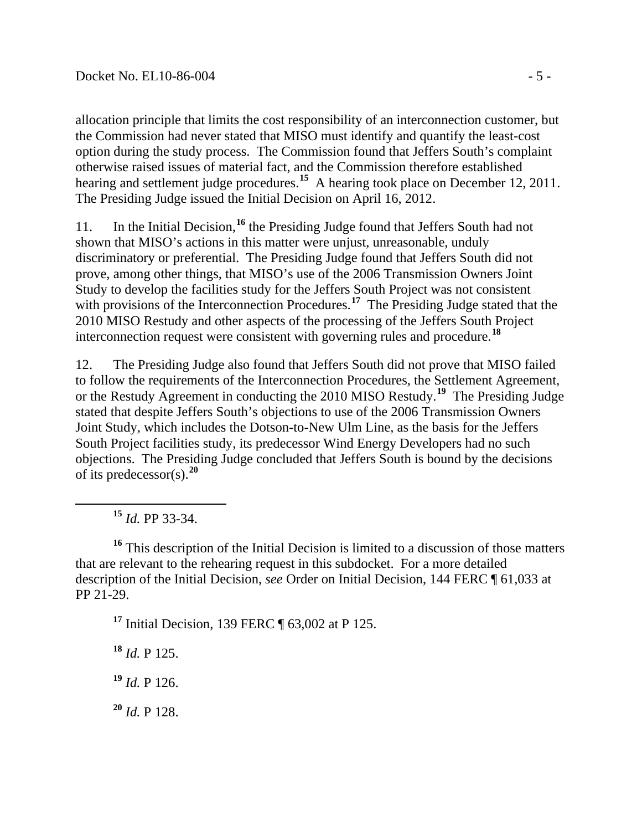allocation principle that limits the cost responsibility of an interconnection customer, but the Commission had never stated that MISO must identify and quantify the least-cost option during the study process. The Commission found that Jeffers South's complaint otherwise raised issues of material fact, and the Commission therefore established hearing and settlement judge procedures.**[15](#page-4-0)** A hearing took place on December 12, 2011. The Presiding Judge issued the Initial Decision on April 16, 2012.

11. In the Initial Decision,**[16](#page-4-1)** the Presiding Judge found that Jeffers South had not shown that MISO's actions in this matter were unjust, unreasonable, unduly discriminatory or preferential. The Presiding Judge found that Jeffers South did not prove, among other things, that MISO's use of the 2006 Transmission Owners Joint Study to develop the facilities study for the Jeffers South Project was not consistent with provisions of the Interconnection Procedures.<sup>[17](#page-4-2)</sup> The Presiding Judge stated that the 2010 MISO Restudy and other aspects of the processing of the Jeffers South Project interconnection request were consistent with governing rules and procedure.**[18](#page-4-3)**

12. The Presiding Judge also found that Jeffers South did not prove that MISO failed to follow the requirements of the Interconnection Procedures, the Settlement Agreement, or the Restudy Agreement in conducting the 2010 MISO Restudy.**[19](#page-4-4)** The Presiding Judge stated that despite Jeffers South's objections to use of the 2006 Transmission Owners Joint Study, which includes the Dotson-to-New Ulm Line, as the basis for the Jeffers South Project facilities study, its predecessor Wind Energy Developers had no such objections. The Presiding Judge concluded that Jeffers South is bound by the decisions of its predecessor(s).**[20](#page-4-5)**

**<sup>15</sup>** *Id.* PP 33-34.

<span id="page-4-2"></span><span id="page-4-1"></span><span id="page-4-0"></span>**<sup>16</sup>** This description of the Initial Decision is limited to a discussion of those matters that are relevant to the rehearing request in this subdocket. For a more detailed description of the Initial Decision, *see* Order on Initial Decision, 144 FERC ¶ 61,033 at PP 21-29.

**<sup>17</sup>** Initial Decision, 139 FERC ¶ 63,002 at P 125.

<span id="page-4-3"></span>**<sup>18</sup>** *Id.* P 125.

<span id="page-4-4"></span>**<sup>19</sup>** *Id.* P 126.

<span id="page-4-5"></span>**<sup>20</sup>** *Id.* P 128.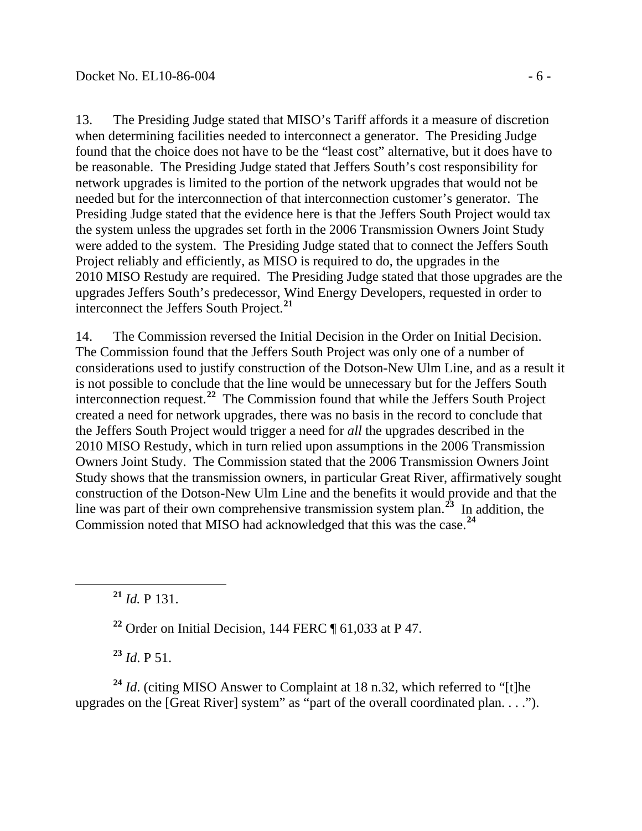13. The Presiding Judge stated that MISO's Tariff affords it a measure of discretion when determining facilities needed to interconnect a generator. The Presiding Judge found that the choice does not have to be the "least cost" alternative, but it does have to be reasonable. The Presiding Judge stated that Jeffers South's cost responsibility for network upgrades is limited to the portion of the network upgrades that would not be needed but for the interconnection of that interconnection customer's generator. The Presiding Judge stated that the evidence here is that the Jeffers South Project would tax the system unless the upgrades set forth in the 2006 Transmission Owners Joint Study were added to the system. The Presiding Judge stated that to connect the Jeffers South Project reliably and efficiently, as MISO is required to do, the upgrades in the 2010 MISO Restudy are required. The Presiding Judge stated that those upgrades are the upgrades Jeffers South's predecessor, Wind Energy Developers, requested in order to interconnect the Jeffers South Project.**[21](#page-5-0)**

14. The Commission reversed the Initial Decision in the Order on Initial Decision. The Commission found that the Jeffers South Project was only one of a number of considerations used to justify construction of the Dotson-New Ulm Line, and as a result it is not possible to conclude that the line would be unnecessary but for the Jeffers South interconnection request.**[22](#page-5-1)** The Commission found that while the Jeffers South Project created a need for network upgrades, there was no basis in the record to conclude that the Jeffers South Project would trigger a need for *all* the upgrades described in the 2010 MISO Restudy, which in turn relied upon assumptions in the 2006 Transmission Owners Joint Study. The Commission stated that the 2006 Transmission Owners Joint Study shows that the transmission owners, in particular Great River, affirmatively sought construction of the Dotson-New Ulm Line and the benefits it would provide and that the line was part of their own comprehensive transmission system plan.**[23](#page-5-2)** In addition, the Commission noted that MISO had acknowledged that this was the case.**[24](#page-5-3)**

<span id="page-5-0"></span>**<sup>21</sup>** *Id.* P 131.

**<sup>22</sup>** Order on Initial Decision, 144 FERC ¶ 61,033 at P 47.

**<sup>23</sup>** *Id*. P 51.

<span id="page-5-3"></span><span id="page-5-2"></span><span id="page-5-1"></span><sup>24</sup> *Id.* (citing MISO Answer to Complaint at 18 n.32, which referred to "[t]he upgrades on the [Great River] system" as "part of the overall coordinated plan. . . .").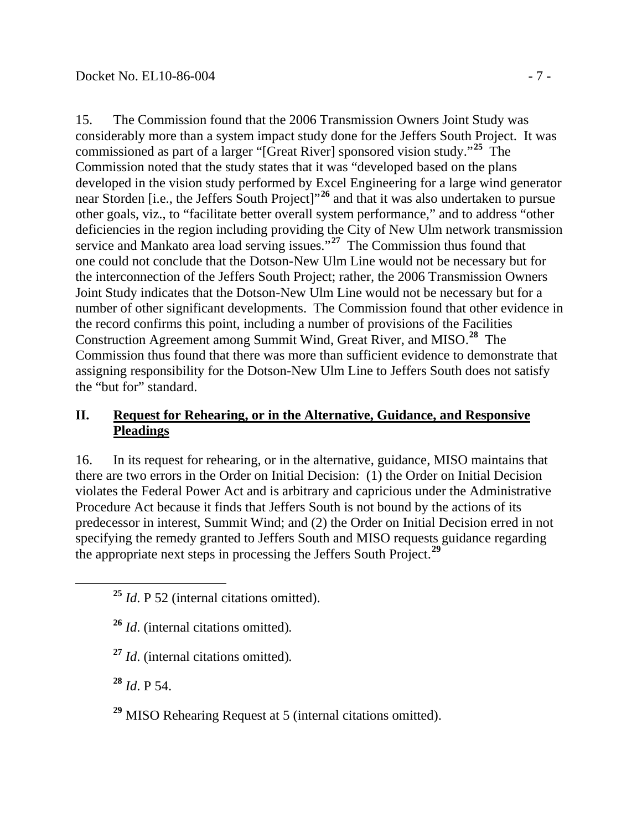15. The Commission found that the 2006 Transmission Owners Joint Study was considerably more than a system impact study done for the Jeffers South Project. It was commissioned as part of a larger "[Great River] sponsored vision study."**[25](#page-6-0)** The Commission noted that the study states that it was "developed based on the plans developed in the vision study performed by Excel Engineering for a large wind generator near Storden [i.e., the Jeffers South Project]"**[26](#page-6-1)** and that it was also undertaken to pursue other goals, viz., to "facilitate better overall system performance," and to address "other deficiencies in the region including providing the City of New Ulm network transmission service and Mankato area load serving issues."<sup>[27](#page-6-2)</sup> The Commission thus found that one could not conclude that the Dotson-New Ulm Line would not be necessary but for the interconnection of the Jeffers South Project; rather, the 2006 Transmission Owners Joint Study indicates that the Dotson-New Ulm Line would not be necessary but for a number of other significant developments. The Commission found that other evidence in the record confirms this point, including a number of provisions of the Facilities Construction Agreement among Summit Wind, Great River, and MISO. **[28](#page-6-3)** The Commission thus found that there was more than sufficient evidence to demonstrate that assigning responsibility for the Dotson-New Ulm Line to Jeffers South does not satisfy the "but for" standard.

### **II. Request for Rehearing, or in the Alternative, Guidance, and Responsive Pleadings**

16. In its request for rehearing, or in the alternative, guidance, MISO maintains that there are two errors in the Order on Initial Decision: (1) the Order on Initial Decision violates the Federal Power Act and is arbitrary and capricious under the Administrative Procedure Act because it finds that Jeffers South is not bound by the actions of its predecessor in interest, Summit Wind; and (2) the Order on Initial Decision erred in not specifying the remedy granted to Jeffers South and MISO requests guidance regarding the appropriate next steps in processing the Jeffers South Project.**[29](#page-6-4)**

- <span id="page-6-1"></span>**<sup>26</sup>** *Id*. (internal citations omitted)*.*
- <span id="page-6-2"></span>**<sup>27</sup>** *Id*. (internal citations omitted)*.*

<span id="page-6-3"></span>**<sup>28</sup>** *Id*. P 54.

<span id="page-6-4"></span>**<sup>29</sup>** MISO Rehearing Request at 5 (internal citations omitted).

<span id="page-6-0"></span>**<sup>25</sup>** *Id*. P 52 (internal citations omitted).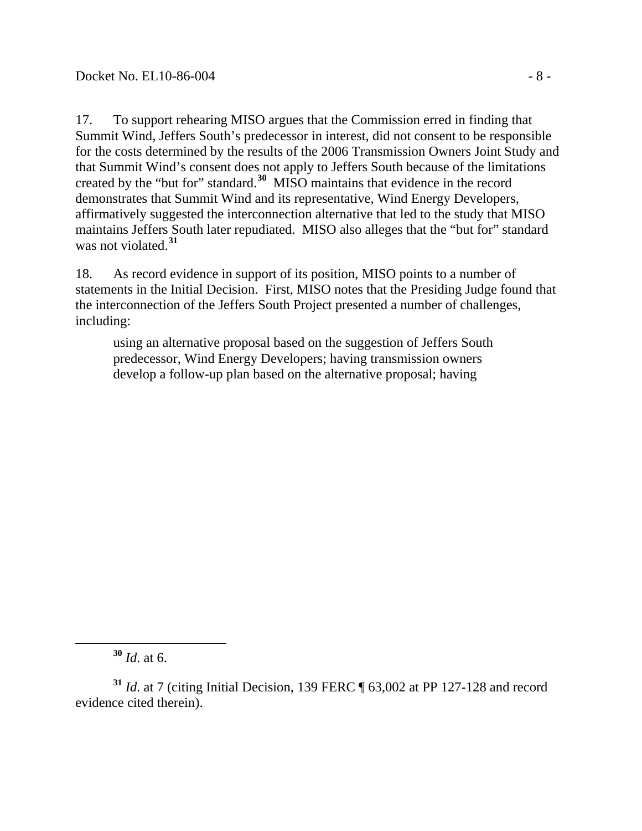17. To support rehearing MISO argues that the Commission erred in finding that Summit Wind, Jeffers South's predecessor in interest, did not consent to be responsible for the costs determined by the results of the 2006 Transmission Owners Joint Study and that Summit Wind's consent does not apply to Jeffers South because of the limitations created by the "but for" standard.**[30](#page-7-0)** MISO maintains that evidence in the record demonstrates that Summit Wind and its representative, Wind Energy Developers, affirmatively suggested the interconnection alternative that led to the study that MISO maintains Jeffers South later repudiated. MISO also alleges that the "but for" standard was not violated.**[31](#page-7-1)**

18. As record evidence in support of its position, MISO points to a number of statements in the Initial Decision. First, MISO notes that the Presiding Judge found that the interconnection of the Jeffers South Project presented a number of challenges, including:

using an alternative proposal based on the suggestion of Jeffers South predecessor, Wind Energy Developers; having transmission owners develop a follow-up plan based on the alternative proposal; having

**<sup>30</sup>** *Id*. at 6.

<span id="page-7-1"></span><span id="page-7-0"></span>**<sup>31</sup>** *Id*. at 7 (citing Initial Decision, 139 FERC ¶ 63,002 at PP 127-128 and record evidence cited therein).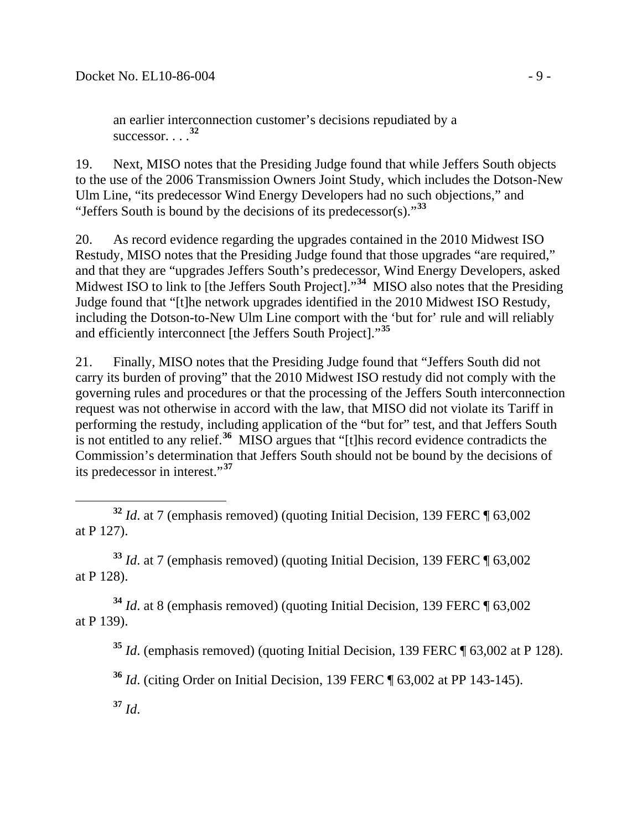an earlier interconnection customer's decisions repudiated by a successor. . . . **[32](#page-8-0)**

19. Next, MISO notes that the Presiding Judge found that while Jeffers South objects to the use of the 2006 Transmission Owners Joint Study, which includes the Dotson-New Ulm Line, "its predecessor Wind Energy Developers had no such objections," and "Jeffers South is bound by the decisions of its predecessor(s)."**[33](#page-8-1)**

20. As record evidence regarding the upgrades contained in the 2010 Midwest ISO Restudy, MISO notes that the Presiding Judge found that those upgrades "are required," and that they are "upgrades Jeffers South's predecessor, Wind Energy Developers, asked Midwest ISO to link to [the Jeffers South Project]."<sup>[34](#page-8-2)</sup> MISO also notes that the Presiding Judge found that "[t]he network upgrades identified in the 2010 Midwest ISO Restudy, including the Dotson-to-New Ulm Line comport with the 'but for' rule and will reliably and efficiently interconnect [the Jeffers South Project]."**[35](#page-8-3)**

21. Finally, MISO notes that the Presiding Judge found that "Jeffers South did not carry its burden of proving" that the 2010 Midwest ISO restudy did not comply with the governing rules and procedures or that the processing of the Jeffers South interconnection request was not otherwise in accord with the law, that MISO did not violate its Tariff in performing the restudy, including application of the "but for" test, and that Jeffers South is not entitled to any relief.**[36](#page-8-4)** MISO argues that "[t]his record evidence contradicts the Commission's determination that Jeffers South should not be bound by the decisions of its predecessor in interest."**[37](#page-8-5)**

<span id="page-8-1"></span>**<sup>33</sup>** *Id*. at 7 (emphasis removed) (quoting Initial Decision, 139 FERC ¶ 63,002 at P 128).

<span id="page-8-4"></span><span id="page-8-3"></span><span id="page-8-2"></span>**<sup>34</sup>** *Id*. at 8 (emphasis removed) (quoting Initial Decision, 139 FERC ¶ 63,002 at P 139).

**<sup>35</sup>** *Id*. (emphasis removed) (quoting Initial Decision, 139 FERC ¶ 63,002 at P 128).

**<sup>36</sup>** *Id*. (citing Order on Initial Decision, 139 FERC ¶ 63,002 at PP 143-145).

<span id="page-8-5"></span>**<sup>37</sup>** *Id*.

<span id="page-8-0"></span>**<sup>32</sup>** *Id*. at 7 (emphasis removed) (quoting Initial Decision, 139 FERC ¶ 63,002 at P 127).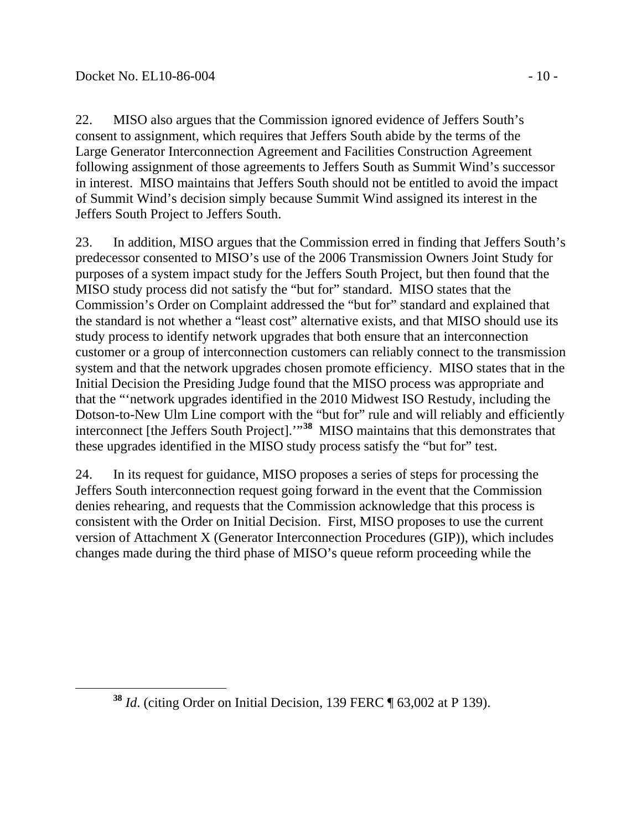22. MISO also argues that the Commission ignored evidence of Jeffers South's consent to assignment, which requires that Jeffers South abide by the terms of the Large Generator Interconnection Agreement and Facilities Construction Agreement following assignment of those agreements to Jeffers South as Summit Wind's successor in interest. MISO maintains that Jeffers South should not be entitled to avoid the impact of Summit Wind's decision simply because Summit Wind assigned its interest in the Jeffers South Project to Jeffers South.

23. In addition, MISO argues that the Commission erred in finding that Jeffers South's predecessor consented to MISO's use of the 2006 Transmission Owners Joint Study for purposes of a system impact study for the Jeffers South Project, but then found that the MISO study process did not satisfy the "but for" standard. MISO states that the Commission's Order on Complaint addressed the "but for" standard and explained that the standard is not whether a "least cost" alternative exists, and that MISO should use its study process to identify network upgrades that both ensure that an interconnection customer or a group of interconnection customers can reliably connect to the transmission system and that the network upgrades chosen promote efficiency. MISO states that in the Initial Decision the Presiding Judge found that the MISO process was appropriate and that the "'network upgrades identified in the 2010 Midwest ISO Restudy, including the Dotson-to-New Ulm Line comport with the "but for" rule and will reliably and efficiently interconnect [the Jeffers South Project].'"**[38](#page-9-0)** MISO maintains that this demonstrates that these upgrades identified in the MISO study process satisfy the "but for" test.

24. In its request for guidance, MISO proposes a series of steps for processing the Jeffers South interconnection request going forward in the event that the Commission denies rehearing, and requests that the Commission acknowledge that this process is consistent with the Order on Initial Decision. First, MISO proposes to use the current version of Attachment X (Generator Interconnection Procedures (GIP)), which includes changes made during the third phase of MISO's queue reform proceeding while the

<span id="page-9-0"></span>**<sup>38</sup>** *Id*. (citing Order on Initial Decision, 139 FERC ¶ 63,002 at P 139).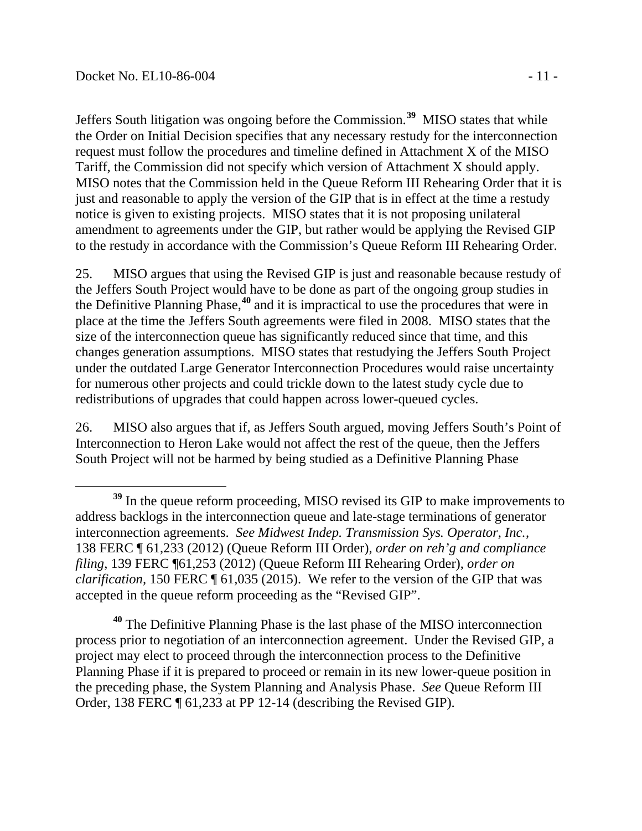Jeffers South litigation was ongoing before the Commission.**[39](#page-10-0)** MISO states that while the Order on Initial Decision specifies that any necessary restudy for the interconnection request must follow the procedures and timeline defined in Attachment X of the MISO Tariff, the Commission did not specify which version of Attachment X should apply. MISO notes that the Commission held in the Queue Reform III Rehearing Order that it is just and reasonable to apply the version of the GIP that is in effect at the time a restudy notice is given to existing projects. MISO states that it is not proposing unilateral amendment to agreements under the GIP, but rather would be applying the Revised GIP to the restudy in accordance with the Commission's Queue Reform III Rehearing Order.

25. MISO argues that using the Revised GIP is just and reasonable because restudy of the Jeffers South Project would have to be done as part of the ongoing group studies in the Definitive Planning Phase, **[40](#page-10-1)** and it is impractical to use the procedures that were in place at the time the Jeffers South agreements were filed in 2008. MISO states that the size of the interconnection queue has significantly reduced since that time, and this changes generation assumptions. MISO states that restudying the Jeffers South Project under the outdated Large Generator Interconnection Procedures would raise uncertainty for numerous other projects and could trickle down to the latest study cycle due to redistributions of upgrades that could happen across lower-queued cycles.

26. MISO also argues that if, as Jeffers South argued, moving Jeffers South's Point of Interconnection to Heron Lake would not affect the rest of the queue, then the Jeffers South Project will not be harmed by being studied as a Definitive Planning Phase

<span id="page-10-1"></span>**<sup>40</sup>** The Definitive Planning Phase is the last phase of the MISO interconnection process prior to negotiation of an interconnection agreement. Under the Revised GIP, a project may elect to proceed through the interconnection process to the Definitive Planning Phase if it is prepared to proceed or remain in its new lower-queue position in the preceding phase, the System Planning and Analysis Phase. *See* Queue Reform III Order, 138 FERC ¶ 61,233 at PP 12-14 (describing the Revised GIP).

<span id="page-10-0"></span>**<sup>39</sup>** In the queue reform proceeding, MISO revised its GIP to make improvements to address backlogs in the interconnection queue and late-stage terminations of generator interconnection agreements. *See Midwest Indep. Transmission Sys. Operator, Inc.*, 138 FERC ¶ 61,233 (2012) (Queue Reform III Order), *order on reh'g and compliance filing*, 139 FERC ¶61,253 (2012) (Queue Reform III Rehearing Order), *order on clarification,* 150 FERC ¶ 61,035 (2015). We refer to the version of the GIP that was accepted in the queue reform proceeding as the "Revised GIP".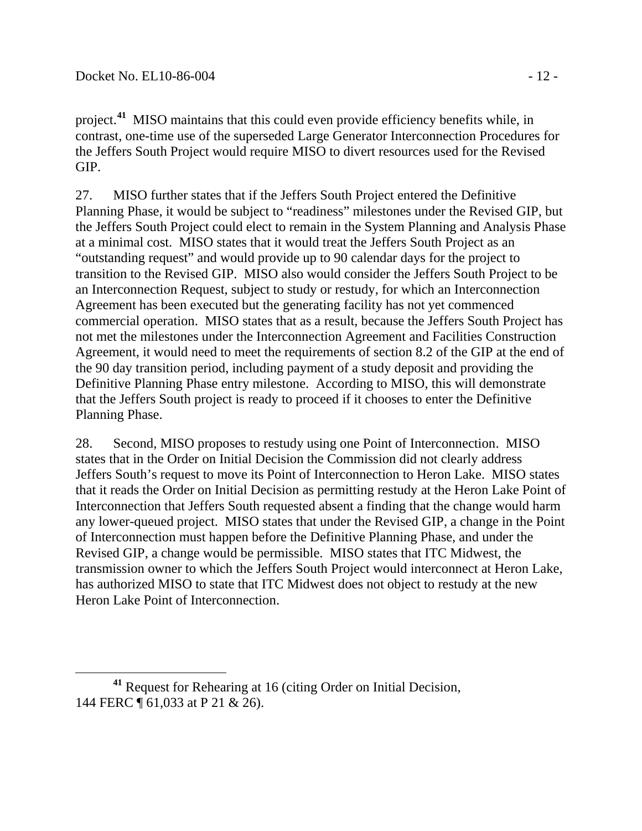project. **[41](#page-11-0)** MISO maintains that this could even provide efficiency benefits while, in contrast, one-time use of the superseded Large Generator Interconnection Procedures for the Jeffers South Project would require MISO to divert resources used for the Revised GIP.

27. MISO further states that if the Jeffers South Project entered the Definitive Planning Phase, it would be subject to "readiness" milestones under the Revised GIP, but the Jeffers South Project could elect to remain in the System Planning and Analysis Phase at a minimal cost. MISO states that it would treat the Jeffers South Project as an "outstanding request" and would provide up to 90 calendar days for the project to transition to the Revised GIP. MISO also would consider the Jeffers South Project to be an Interconnection Request, subject to study or restudy, for which an Interconnection Agreement has been executed but the generating facility has not yet commenced commercial operation. MISO states that as a result, because the Jeffers South Project has not met the milestones under the Interconnection Agreement and Facilities Construction Agreement, it would need to meet the requirements of section 8.2 of the GIP at the end of the 90 day transition period, including payment of a study deposit and providing the Definitive Planning Phase entry milestone. According to MISO, this will demonstrate that the Jeffers South project is ready to proceed if it chooses to enter the Definitive Planning Phase.

28. Second, MISO proposes to restudy using one Point of Interconnection. MISO states that in the Order on Initial Decision the Commission did not clearly address Jeffers South's request to move its Point of Interconnection to Heron Lake. MISO states that it reads the Order on Initial Decision as permitting restudy at the Heron Lake Point of Interconnection that Jeffers South requested absent a finding that the change would harm any lower-queued project. MISO states that under the Revised GIP, a change in the Point of Interconnection must happen before the Definitive Planning Phase, and under the Revised GIP, a change would be permissible. MISO states that ITC Midwest, the transmission owner to which the Jeffers South Project would interconnect at Heron Lake, has authorized MISO to state that ITC Midwest does not object to restudy at the new Heron Lake Point of Interconnection.

<span id="page-11-0"></span>**<sup>41</sup>** Request for Rehearing at 16 (citing Order on Initial Decision, 144 FERC ¶ 61,033 at P 21 & 26).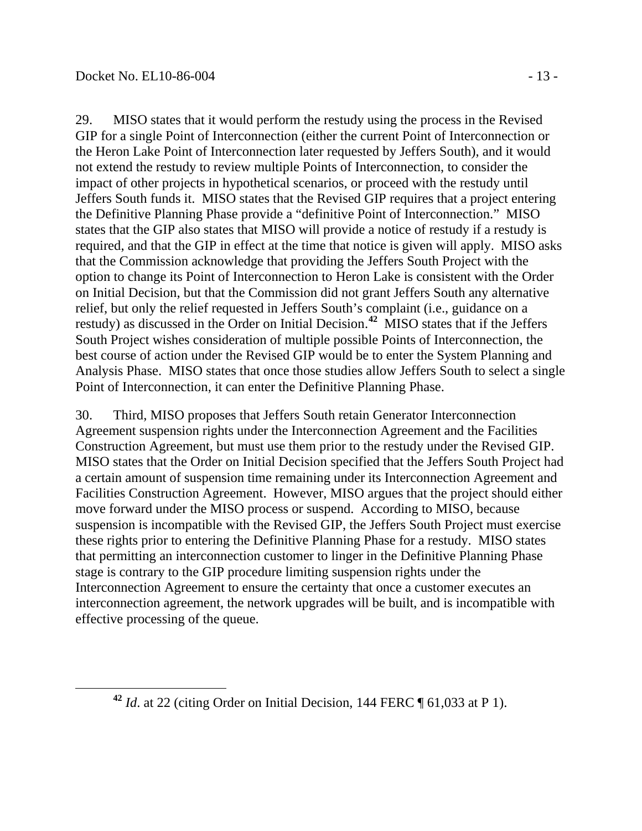29. MISO states that it would perform the restudy using the process in the Revised GIP for a single Point of Interconnection (either the current Point of Interconnection or the Heron Lake Point of Interconnection later requested by Jeffers South), and it would not extend the restudy to review multiple Points of Interconnection, to consider the impact of other projects in hypothetical scenarios, or proceed with the restudy until Jeffers South funds it. MISO states that the Revised GIP requires that a project entering the Definitive Planning Phase provide a "definitive Point of Interconnection." MISO states that the GIP also states that MISO will provide a notice of restudy if a restudy is required, and that the GIP in effect at the time that notice is given will apply. MISO asks that the Commission acknowledge that providing the Jeffers South Project with the option to change its Point of Interconnection to Heron Lake is consistent with the Order on Initial Decision, but that the Commission did not grant Jeffers South any alternative relief, but only the relief requested in Jeffers South's complaint (i.e., guidance on a restudy) as discussed in the Order on Initial Decision. **[42](#page-12-0)** MISO states that if the Jeffers South Project wishes consideration of multiple possible Points of Interconnection, the best course of action under the Revised GIP would be to enter the System Planning and Analysis Phase. MISO states that once those studies allow Jeffers South to select a single Point of Interconnection, it can enter the Definitive Planning Phase.

30. Third, MISO proposes that Jeffers South retain Generator Interconnection Agreement suspension rights under the Interconnection Agreement and the Facilities Construction Agreement, but must use them prior to the restudy under the Revised GIP. MISO states that the Order on Initial Decision specified that the Jeffers South Project had a certain amount of suspension time remaining under its Interconnection Agreement and Facilities Construction Agreement. However, MISO argues that the project should either move forward under the MISO process or suspend. According to MISO, because suspension is incompatible with the Revised GIP, the Jeffers South Project must exercise these rights prior to entering the Definitive Planning Phase for a restudy. MISO states that permitting an interconnection customer to linger in the Definitive Planning Phase stage is contrary to the GIP procedure limiting suspension rights under the Interconnection Agreement to ensure the certainty that once a customer executes an interconnection agreement, the network upgrades will be built, and is incompatible with effective processing of the queue.

<span id="page-12-0"></span>**<sup>42</sup>** *Id*. at 22 (citing Order on Initial Decision, 144 FERC ¶ 61,033 at P 1).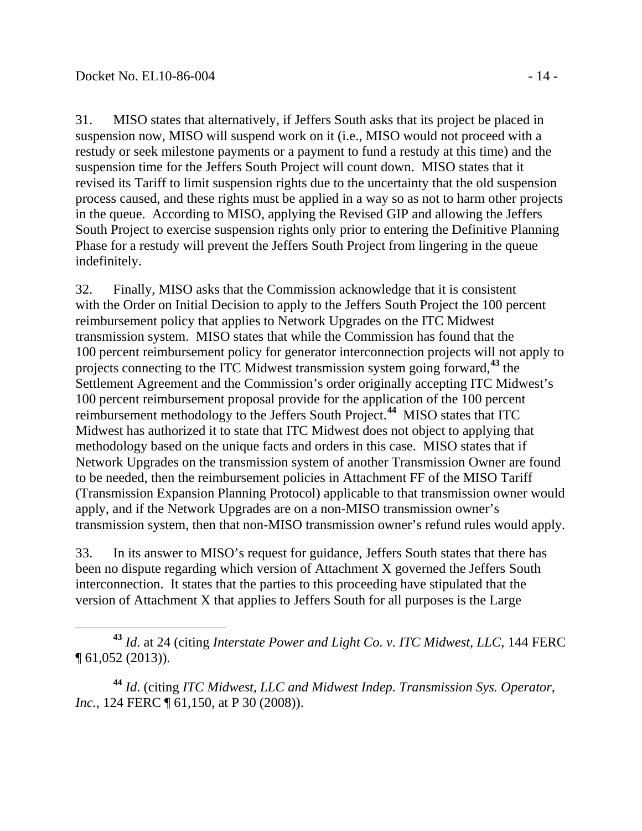31. MISO states that alternatively, if Jeffers South asks that its project be placed in suspension now, MISO will suspend work on it (i.e., MISO would not proceed with a restudy or seek milestone payments or a payment to fund a restudy at this time) and the suspension time for the Jeffers South Project will count down. MISO states that it revised its Tariff to limit suspension rights due to the uncertainty that the old suspension process caused, and these rights must be applied in a way so as not to harm other projects in the queue. According to MISO, applying the Revised GIP and allowing the Jeffers South Project to exercise suspension rights only prior to entering the Definitive Planning Phase for a restudy will prevent the Jeffers South Project from lingering in the queue indefinitely.

32. Finally, MISO asks that the Commission acknowledge that it is consistent with the Order on Initial Decision to apply to the Jeffers South Project the 100 percent reimbursement policy that applies to Network Upgrades on the ITC Midwest transmission system. MISO states that while the Commission has found that the 100 percent reimbursement policy for generator interconnection projects will not apply to projects connecting to the ITC Midwest transmission system going forward,**[43](#page-13-0)** the Settlement Agreement and the Commission's order originally accepting ITC Midwest's 100 percent reimbursement proposal provide for the application of the 100 percent reimbursement methodology to the Jeffers South Project. **[44](#page-13-1)** MISO states that ITC Midwest has authorized it to state that ITC Midwest does not object to applying that methodology based on the unique facts and orders in this case. MISO states that if Network Upgrades on the transmission system of another Transmission Owner are found to be needed, then the reimbursement policies in Attachment FF of the MISO Tariff (Transmission Expansion Planning Protocol) applicable to that transmission owner would apply, and if the Network Upgrades are on a non-MISO transmission owner's transmission system, then that non-MISO transmission owner's refund rules would apply.

33. In its answer to MISO's request for guidance, Jeffers South states that there has been no dispute regarding which version of Attachment X governed the Jeffers South interconnection. It states that the parties to this proceeding have stipulated that the version of Attachment X that applies to Jeffers South for all purposes is the Large

<span id="page-13-0"></span> **<sup>43</sup>** *Id*. at 24 (citing *Interstate Power and Light Co. v. ITC Midwest, LLC*, 144 FERC ¶ 61,052 (2013)).

<span id="page-13-1"></span>**<sup>44</sup>** *Id*. (citing *ITC Midwest, LLC and Midwest Indep. Transmission Sys. Operator, Inc.*, 124 FERC ¶ 61,150, at P 30 (2008)).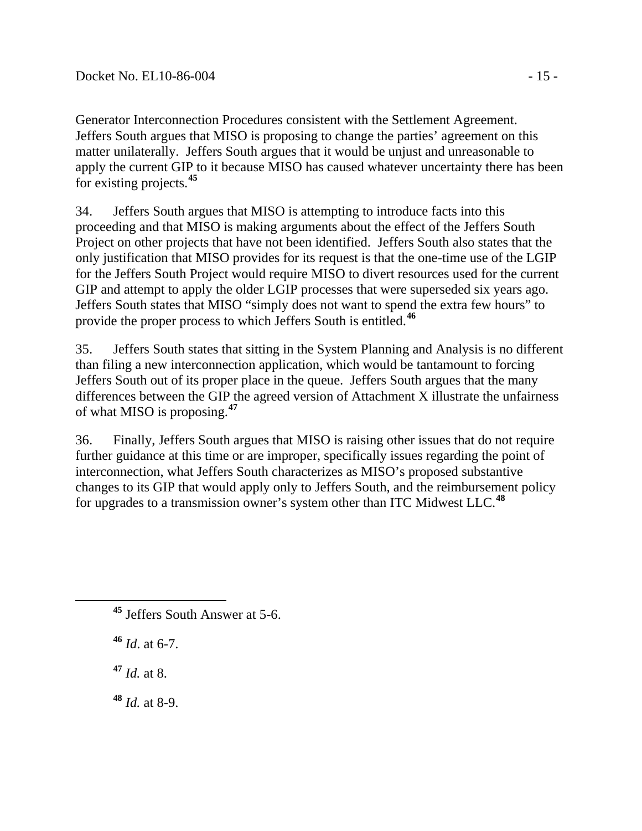Generator Interconnection Procedures consistent with the Settlement Agreement. Jeffers South argues that MISO is proposing to change the parties' agreement on this matter unilaterally. Jeffers South argues that it would be unjust and unreasonable to apply the current GIP to it because MISO has caused whatever uncertainty there has been for existing projects.**[45](#page-14-0)**

34. Jeffers South argues that MISO is attempting to introduce facts into this proceeding and that MISO is making arguments about the effect of the Jeffers South Project on other projects that have not been identified. Jeffers South also states that the only justification that MISO provides for its request is that the one-time use of the LGIP for the Jeffers South Project would require MISO to divert resources used for the current GIP and attempt to apply the older LGIP processes that were superseded six years ago. Jeffers South states that MISO "simply does not want to spend the extra few hours" to provide the proper process to which Jeffers South is entitled.**[46](#page-14-1)**

35. Jeffers South states that sitting in the System Planning and Analysis is no different than filing a new interconnection application, which would be tantamount to forcing Jeffers South out of its proper place in the queue. Jeffers South argues that the many differences between the GIP the agreed version of Attachment X illustrate the unfairness of what MISO is proposing.**[47](#page-14-2)**

36. Finally, Jeffers South argues that MISO is raising other issues that do not require further guidance at this time or are improper, specifically issues regarding the point of interconnection, what Jeffers South characterizes as MISO's proposed substantive changes to its GIP that would apply only to Jeffers South, and the reimbursement policy for upgrades to a transmission owner's system other than ITC Midwest LLC.**[48](#page-14-3)**

<span id="page-14-1"></span>**<sup>46</sup>** *Id*. at 6-7.

<span id="page-14-2"></span>**<sup>47</sup>** *Id.* at 8.

<span id="page-14-3"></span>**<sup>48</sup>** *Id.* at 8-9.

<span id="page-14-0"></span>**<sup>45</sup>** Jeffers South Answer at 5-6.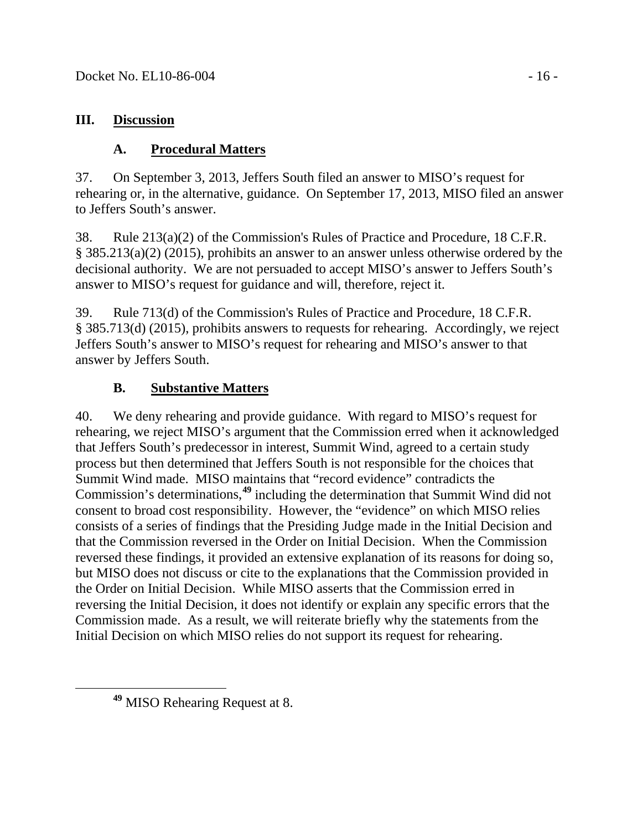### **III. Discussion**

## **A. Procedural Matters**

37. On September 3, 2013, Jeffers South filed an answer to MISO's request for rehearing or, in the alternative, guidance. On September 17, 2013, MISO filed an answer to Jeffers South's answer.

38. Rule 213(a)(2) of the Commission's Rules of Practice and Procedure, 18 C.F.R. § 385.213(a)(2) (2015), prohibits an answer to an answer unless otherwise ordered by the decisional authority. We are not persuaded to accept MISO's answer to Jeffers South's answer to MISO's request for guidance and will, therefore, reject it.

39. Rule 713(d) of the Commission's Rules of Practice and Procedure, 18 C.F.R. § 385.713(d) (2015), prohibits answers to requests for rehearing. Accordingly, we reject Jeffers South's answer to MISO's request for rehearing and MISO's answer to that answer by Jeffers South.

# **B. Substantive Matters**

40. We deny rehearing and provide guidance. With regard to MISO's request for rehearing, we reject MISO's argument that the Commission erred when it acknowledged that Jeffers South's predecessor in interest, Summit Wind, agreed to a certain study process but then determined that Jeffers South is not responsible for the choices that Summit Wind made. MISO maintains that "record evidence" contradicts the Commission's determinations,**[49](#page-15-0)** including the determination that Summit Wind did not consent to broad cost responsibility. However, the "evidence" on which MISO relies consists of a series of findings that the Presiding Judge made in the Initial Decision and that the Commission reversed in the Order on Initial Decision. When the Commission reversed these findings, it provided an extensive explanation of its reasons for doing so, but MISO does not discuss or cite to the explanations that the Commission provided in the Order on Initial Decision. While MISO asserts that the Commission erred in reversing the Initial Decision, it does not identify or explain any specific errors that the Commission made. As a result, we will reiterate briefly why the statements from the Initial Decision on which MISO relies do not support its request for rehearing.

<span id="page-15-0"></span>**<sup>49</sup>** MISO Rehearing Request at 8.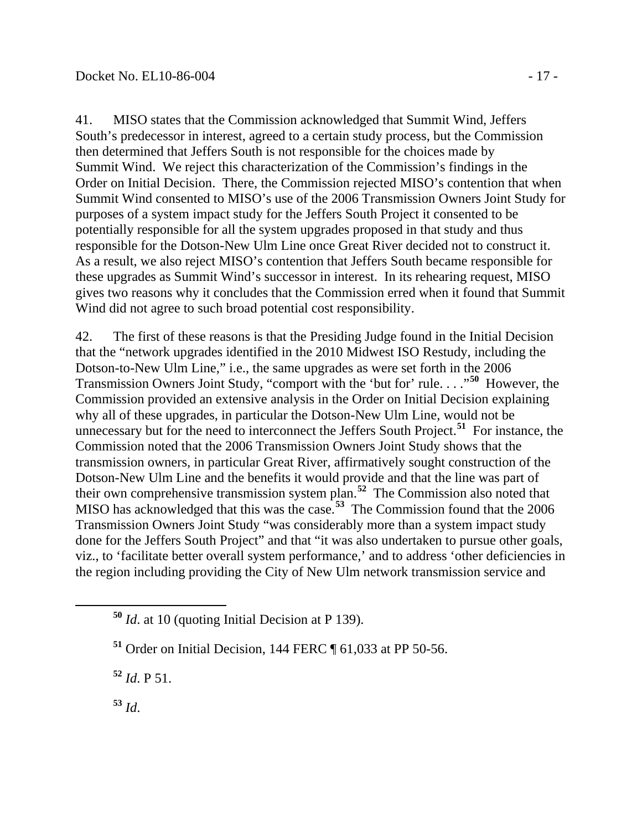41. MISO states that the Commission acknowledged that Summit Wind, Jeffers South's predecessor in interest, agreed to a certain study process, but the Commission then determined that Jeffers South is not responsible for the choices made by Summit Wind. We reject this characterization of the Commission's findings in the Order on Initial Decision. There, the Commission rejected MISO's contention that when Summit Wind consented to MISO's use of the 2006 Transmission Owners Joint Study for purposes of a system impact study for the Jeffers South Project it consented to be potentially responsible for all the system upgrades proposed in that study and thus responsible for the Dotson-New Ulm Line once Great River decided not to construct it. As a result, we also reject MISO's contention that Jeffers South became responsible for these upgrades as Summit Wind's successor in interest. In its rehearing request, MISO gives two reasons why it concludes that the Commission erred when it found that Summit Wind did not agree to such broad potential cost responsibility.

42. The first of these reasons is that the Presiding Judge found in the Initial Decision that the "network upgrades identified in the 2010 Midwest ISO Restudy, including the Dotson-to-New Ulm Line," i.e., the same upgrades as were set forth in the 2006 Transmission Owners Joint Study, "comport with the 'but for' rule. . . ."**[50](#page-16-0)** However, the Commission provided an extensive analysis in the Order on Initial Decision explaining why all of these upgrades, in particular the Dotson-New Ulm Line, would not be unnecessary but for the need to interconnect the Jeffers South Project. **[51](#page-16-1)** For instance, the Commission noted that the 2006 Transmission Owners Joint Study shows that the transmission owners, in particular Great River, affirmatively sought construction of the Dotson-New Ulm Line and the benefits it would provide and that the line was part of their own comprehensive transmission system plan.**[52](#page-16-2)** The Commission also noted that MISO has acknowledged that this was the case.**[53](#page-16-3)** The Commission found that the 2006 Transmission Owners Joint Study "was considerably more than a system impact study done for the Jeffers South Project" and that "it was also undertaken to pursue other goals, viz., to 'facilitate better overall system performance,' and to address 'other deficiencies in the region including providing the City of New Ulm network transmission service and

<span id="page-16-2"></span>**<sup>52</sup>** *Id*. P 51.

<span id="page-16-3"></span>**<sup>53</sup>** *Id*.

<span id="page-16-0"></span>**<sup>50</sup>** *Id*. at 10 (quoting Initial Decision at P 139).

<span id="page-16-1"></span>**<sup>51</sup>** Order on Initial Decision, 144 FERC ¶ 61,033 at PP 50-56.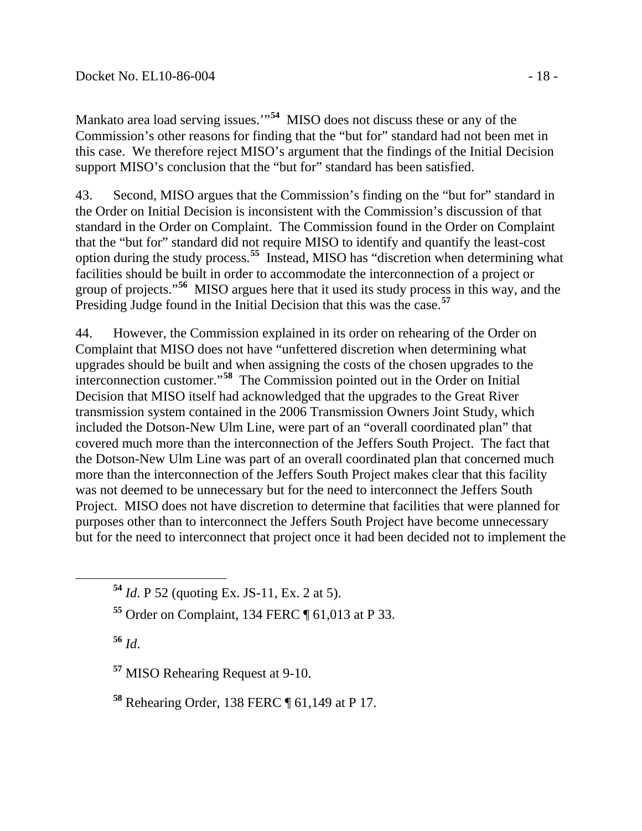Mankato area load serving issues.'"**[54](#page-17-0)** MISO does not discuss these or any of the Commission's other reasons for finding that the "but for" standard had not been met in this case. We therefore reject MISO's argument that the findings of the Initial Decision support MISO's conclusion that the "but for" standard has been satisfied.

43. Second, MISO argues that the Commission's finding on the "but for" standard in the Order on Initial Decision is inconsistent with the Commission's discussion of that standard in the Order on Complaint. The Commission found in the Order on Complaint that the "but for" standard did not require MISO to identify and quantify the least-cost option during the study process.**[55](#page-17-1)** Instead, MISO has "discretion when determining what facilities should be built in order to accommodate the interconnection of a project or group of projects."**[56](#page-17-2)** MISO argues here that it used its study process in this way, and the Presiding Judge found in the Initial Decision that this was the case.<sup>[57](#page-17-3)</sup>

44. However, the Commission explained in its order on rehearing of the Order on Complaint that MISO does not have "unfettered discretion when determining what upgrades should be built and when assigning the costs of the chosen upgrades to the interconnection customer."**[58](#page-17-4)** The Commission pointed out in the Order on Initial Decision that MISO itself had acknowledged that the upgrades to the Great River transmission system contained in the 2006 Transmission Owners Joint Study, which included the Dotson-New Ulm Line, were part of an "overall coordinated plan" that covered much more than the interconnection of the Jeffers South Project. The fact that the Dotson-New Ulm Line was part of an overall coordinated plan that concerned much more than the interconnection of the Jeffers South Project makes clear that this facility was not deemed to be unnecessary but for the need to interconnect the Jeffers South Project. MISO does not have discretion to determine that facilities that were planned for purposes other than to interconnect the Jeffers South Project have become unnecessary but for the need to interconnect that project once it had been decided not to implement the

<span id="page-17-2"></span>**<sup>56</sup>** *Id*.

<span id="page-17-3"></span>**<sup>57</sup>** MISO Rehearing Request at 9-10.

<span id="page-17-4"></span>**<sup>58</sup>** Rehearing Order, 138 FERC ¶ 61,149 at P 17.

<span id="page-17-0"></span>**<sup>54</sup>** *Id*. P 52 (quoting Ex. JS-11, Ex. 2 at 5).

<span id="page-17-1"></span>**<sup>55</sup>** Order on Complaint, 134 FERC ¶ 61,013 at P 33.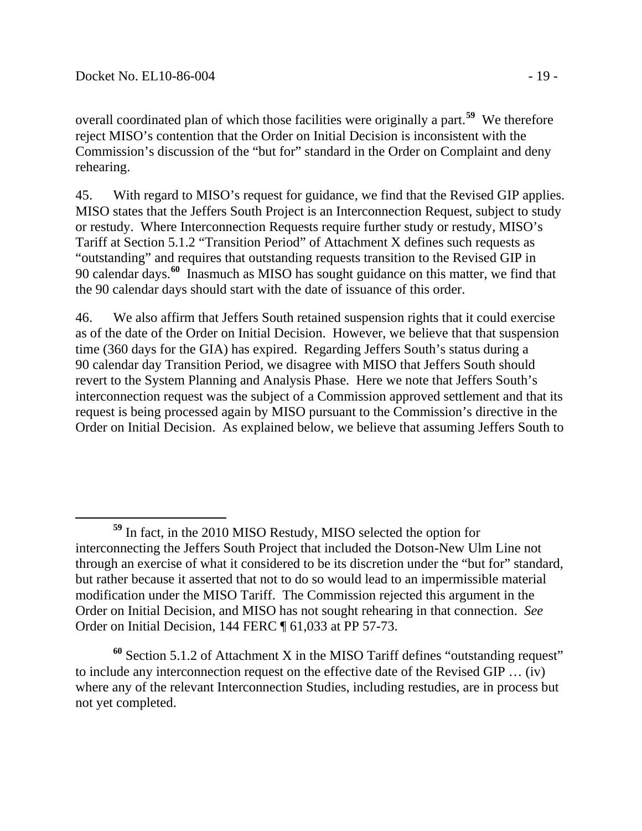overall coordinated plan of which those facilities were originally a part. **[59](#page-18-0)** We therefore reject MISO's contention that the Order on Initial Decision is inconsistent with the Commission's discussion of the "but for" standard in the Order on Complaint and deny rehearing.

45. With regard to MISO's request for guidance, we find that the Revised GIP applies. MISO states that the Jeffers South Project is an Interconnection Request, subject to study or restudy. Where Interconnection Requests require further study or restudy, MISO's Tariff at Section 5.1.2 "Transition Period" of Attachment X defines such requests as "outstanding" and requires that outstanding requests transition to the Revised GIP in 90 calendar days.**[60](#page-18-1)** Inasmuch as MISO has sought guidance on this matter, we find that the 90 calendar days should start with the date of issuance of this order.

46. We also affirm that Jeffers South retained suspension rights that it could exercise as of the date of the Order on Initial Decision. However, we believe that that suspension time (360 days for the GIA) has expired. Regarding Jeffers South's status during a 90 calendar day Transition Period, we disagree with MISO that Jeffers South should revert to the System Planning and Analysis Phase. Here we note that Jeffers South's interconnection request was the subject of a Commission approved settlement and that its request is being processed again by MISO pursuant to the Commission's directive in the Order on Initial Decision. As explained below, we believe that assuming Jeffers South to

<span id="page-18-1"></span>**<sup>60</sup>** Section 5.1.2 of Attachment X in the MISO Tariff defines "outstanding request" to include any interconnection request on the effective date of the Revised GIP … (iv) where any of the relevant Interconnection Studies, including restudies, are in process but not yet completed.

<span id="page-18-0"></span>**<sup>59</sup>** In fact, in the 2010 MISO Restudy, MISO selected the option for interconnecting the Jeffers South Project that included the Dotson-New Ulm Line not through an exercise of what it considered to be its discretion under the "but for" standard, but rather because it asserted that not to do so would lead to an impermissible material modification under the MISO Tariff. The Commission rejected this argument in the Order on Initial Decision, and MISO has not sought rehearing in that connection. *See* Order on Initial Decision, 144 FERC ¶ 61,033 at PP 57-73.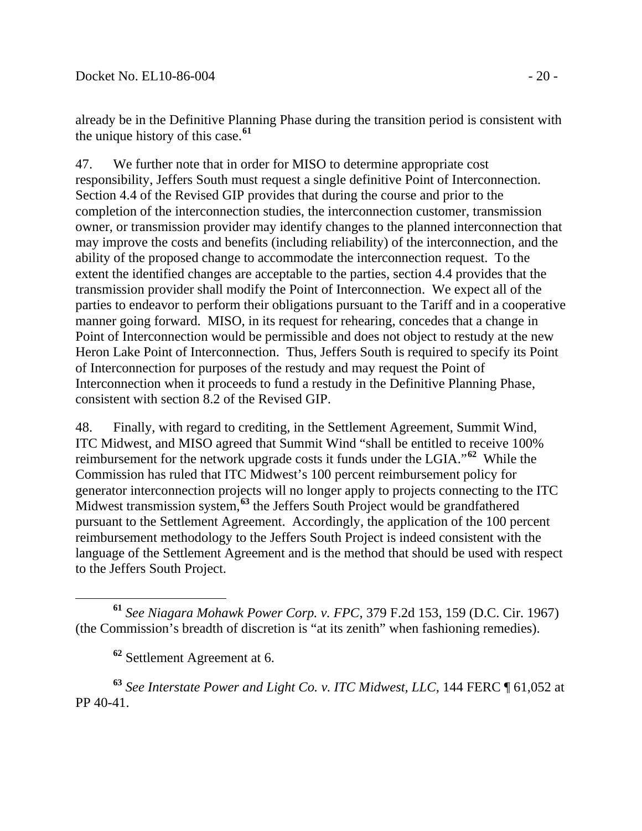already be in the Definitive Planning Phase during the transition period is consistent with the unique history of this case.**[61](#page-19-0)**

47. We further note that in order for MISO to determine appropriate cost responsibility, Jeffers South must request a single definitive Point of Interconnection. Section 4.4 of the Revised GIP provides that during the course and prior to the completion of the interconnection studies, the interconnection customer, transmission owner, or transmission provider may identify changes to the planned interconnection that may improve the costs and benefits (including reliability) of the interconnection, and the ability of the proposed change to accommodate the interconnection request. To the extent the identified changes are acceptable to the parties, section 4.4 provides that the transmission provider shall modify the Point of Interconnection. We expect all of the parties to endeavor to perform their obligations pursuant to the Tariff and in a cooperative manner going forward. MISO, in its request for rehearing, concedes that a change in Point of Interconnection would be permissible and does not object to restudy at the new Heron Lake Point of Interconnection. Thus, Jeffers South is required to specify its Point of Interconnection for purposes of the restudy and may request the Point of Interconnection when it proceeds to fund a restudy in the Definitive Planning Phase, consistent with section 8.2 of the Revised GIP.

48. Finally, with regard to crediting, in the Settlement Agreement, Summit Wind, ITC Midwest, and MISO agreed that Summit Wind "shall be entitled to receive 100% reimbursement for the network upgrade costs it funds under the LGIA."**[62](#page-19-1)** While the Commission has ruled that ITC Midwest's 100 percent reimbursement policy for generator interconnection projects will no longer apply to projects connecting to the ITC Midwest transmission system,<sup>[63](#page-19-2)</sup> the Jeffers South Project would be grandfathered pursuant to the Settlement Agreement. Accordingly, the application of the 100 percent reimbursement methodology to the Jeffers South Project is indeed consistent with the language of the Settlement Agreement and is the method that should be used with respect to the Jeffers South Project.

**<sup>62</sup>** Settlement Agreement at 6.

<span id="page-19-2"></span><span id="page-19-1"></span>**<sup>63</sup>** *See Interstate Power and Light Co. v. ITC Midwest, LLC*, 144 FERC ¶ 61,052 at PP 40-41.

<span id="page-19-0"></span>**<sup>61</sup>** *See Niagara Mohawk Power Corp. v. FPC*, 379 F.2d 153, 159 (D.C. Cir. 1967) (the Commission's breadth of discretion is "at its zenith" when fashioning remedies).